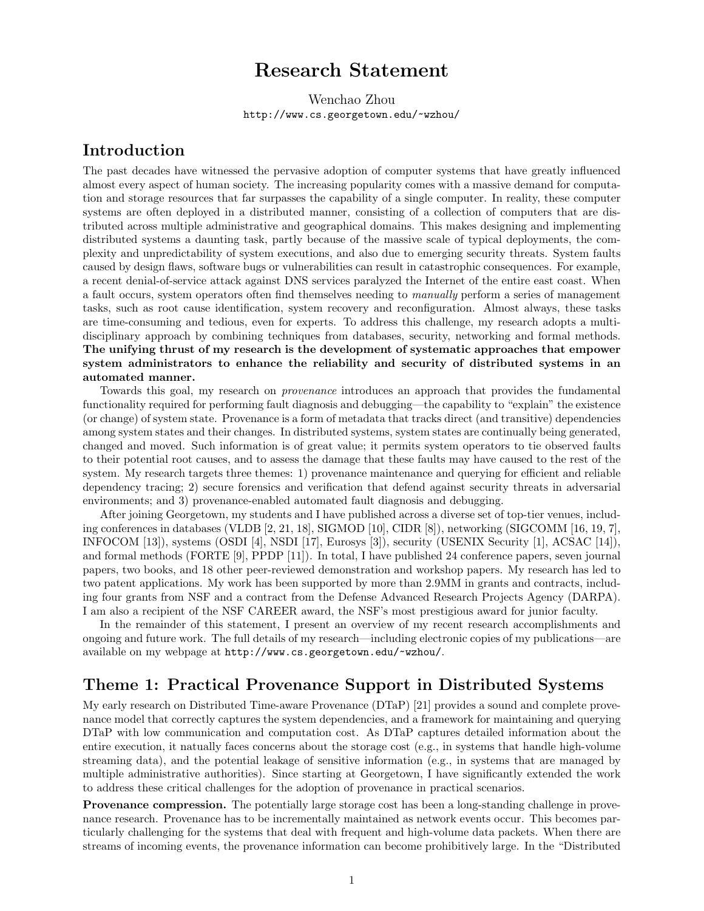# Research Statement

Wenchao Zhou http://www.cs.georgetown.edu/~wzhou/

## Introduction

The past decades have witnessed the pervasive adoption of computer systems that have greatly influenced almost every aspect of human society. The increasing popularity comes with a massive demand for computation and storage resources that far surpasses the capability of a single computer. In reality, these computer systems are often deployed in a distributed manner, consisting of a collection of computers that are distributed across multiple administrative and geographical domains. This makes designing and implementing distributed systems a daunting task, partly because of the massive scale of typical deployments, the complexity and unpredictability of system executions, and also due to emerging security threats. System faults caused by design flaws, software bugs or vulnerabilities can result in catastrophic consequences. For example, a recent denial-of-service attack against DNS services paralyzed the Internet of the entire east coast. When a fault occurs, system operators often find themselves needing to manually perform a series of management tasks, such as root cause identification, system recovery and reconfiguration. Almost always, these tasks are time-consuming and tedious, even for experts. To address this challenge, my research adopts a multidisciplinary approach by combining techniques from databases, security, networking and formal methods. The unifying thrust of my research is the development of systematic approaches that empower system administrators to enhance the reliability and security of distributed systems in an automated manner.

Towards this goal, my research on provenance introduces an approach that provides the fundamental functionality required for performing fault diagnosis and debugging—the capability to "explain" the existence (or change) of system state. Provenance is a form of metadata that tracks direct (and transitive) dependencies among system states and their changes. In distributed systems, system states are continually being generated, changed and moved. Such information is of great value; it permits system operators to tie observed faults to their potential root causes, and to assess the damage that these faults may have caused to the rest of the system. My research targets three themes: 1) provenance maintenance and querying for efficient and reliable dependency tracing; 2) secure forensics and verification that defend against security threats in adversarial environments; and 3) provenance-enabled automated fault diagnosis and debugging.

After joining Georgetown, my students and I have published across a diverse set of top-tier venues, including conferences in databases (VLDB [2, 21, 18], SIGMOD [10], CIDR [8]), networking (SIGCOMM [16, 19, 7], INFOCOM [13]), systems (OSDI [4], NSDI [17], Eurosys [3]), security (USENIX Security [1], ACSAC [14]), and formal methods (FORTE [9], PPDP [11]). In total, I have published 24 conference papers, seven journal papers, two books, and 18 other peer-reviewed demonstration and workshop papers. My research has led to two patent applications. My work has been supported by more than 2.9MM in grants and contracts, including four grants from NSF and a contract from the Defense Advanced Research Projects Agency (DARPA). I am also a recipient of the NSF CAREER award, the NSF's most prestigious award for junior faculty.

In the remainder of this statement, I present an overview of my recent research accomplishments and ongoing and future work. The full details of my research—including electronic copies of my publications—are available on my webpage at http://www.cs.georgetown.edu/~wzhou/.

## Theme 1: Practical Provenance Support in Distributed Systems

My early research on Distributed Time-aware Provenance (DTaP) [21] provides a sound and complete provenance model that correctly captures the system dependencies, and a framework for maintaining and querying DTaP with low communication and computation cost. As DTaP captures detailed information about the entire execution, it natually faces concerns about the storage cost (e.g., in systems that handle high-volume streaming data), and the potential leakage of sensitive information (e.g., in systems that are managed by multiple administrative authorities). Since starting at Georgetown, I have significantly extended the work to address these critical challenges for the adoption of provenance in practical scenarios.

Provenance compression. The potentially large storage cost has been a long-standing challenge in provenance research. Provenance has to be incrementally maintained as network events occur. This becomes particularly challenging for the systems that deal with frequent and high-volume data packets. When there are streams of incoming events, the provenance information can become prohibitively large. In the "Distributed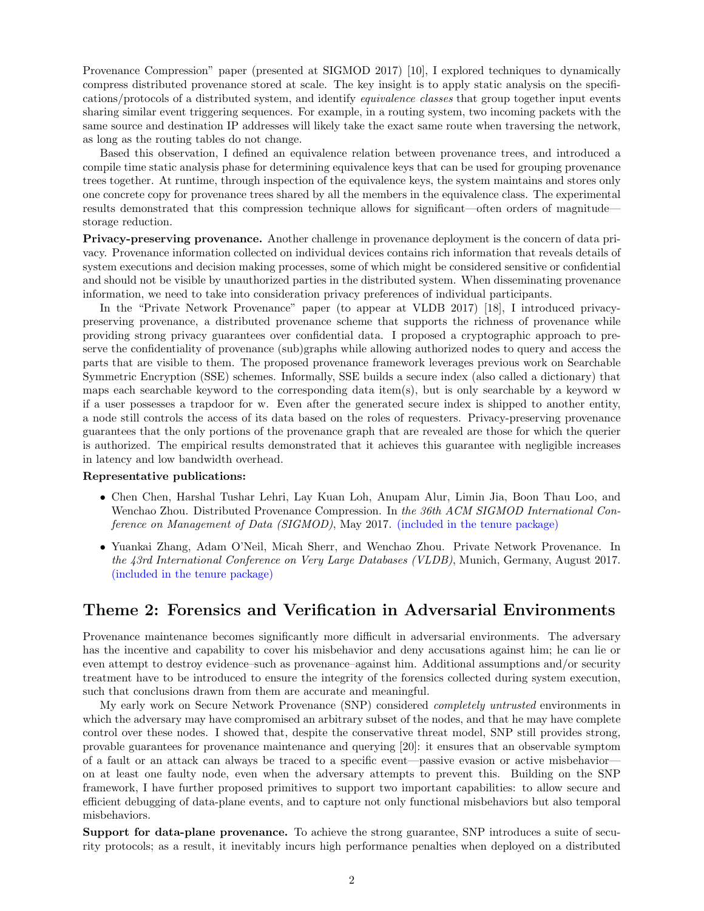Provenance Compression" paper (presented at SIGMOD 2017) [10], I explored techniques to dynamically compress distributed provenance stored at scale. The key insight is to apply static analysis on the specifications/protocols of a distributed system, and identify equivalence classes that group together input events sharing similar event triggering sequences. For example, in a routing system, two incoming packets with the same source and destination IP addresses will likely take the exact same route when traversing the network, as long as the routing tables do not change.

Based this observation, I defined an equivalence relation between provenance trees, and introduced a compile time static analysis phase for determining equivalence keys that can be used for grouping provenance trees together. At runtime, through inspection of the equivalence keys, the system maintains and stores only one concrete copy for provenance trees shared by all the members in the equivalence class. The experimental results demonstrated that this compression technique allows for significant—often orders of magnitude storage reduction.

Privacy-preserving provenance. Another challenge in provenance deployment is the concern of data privacy. Provenance information collected on individual devices contains rich information that reveals details of system executions and decision making processes, some of which might be considered sensitive or confidential and should not be visible by unauthorized parties in the distributed system. When disseminating provenance information, we need to take into consideration privacy preferences of individual participants.

In the "Private Network Provenance" paper (to appear at VLDB 2017) [18], I introduced privacypreserving provenance, a distributed provenance scheme that supports the richness of provenance while providing strong privacy guarantees over confidential data. I proposed a cryptographic approach to preserve the confidentiality of provenance (sub)graphs while allowing authorized nodes to query and access the parts that are visible to them. The proposed provenance framework leverages previous work on Searchable Symmetric Encryption (SSE) schemes. Informally, SSE builds a secure index (also called a dictionary) that maps each searchable keyword to the corresponding data item(s), but is only searchable by a keyword w if a user possesses a trapdoor for w. Even after the generated secure index is shipped to another entity, a node still controls the access of its data based on the roles of requesters. Privacy-preserving provenance guarantees that the only portions of the provenance graph that are revealed are those for which the querier is authorized. The empirical results demonstrated that it achieves this guarantee with negligible increases in latency and low bandwidth overhead.

#### Representative publications:

- Chen Chen, Harshal Tushar Lehri, Lay Kuan Loh, Anupam Alur, Limin Jia, Boon Thau Loo, and Wenchao Zhou. Distributed Provenance Compression. In the 36th ACM SIGMOD International Conference on Management of Data (SIGMOD), May 2017. (included in the tenure package)
- Yuankai Zhang, Adam O'Neil, Micah Sherr, and Wenchao Zhou. Private Network Provenance. In the 43rd International Conference on Very Large Databases (VLDB), Munich, Germany, August 2017. (included in the tenure package)

### Theme 2: Forensics and Verification in Adversarial Environments

Provenance maintenance becomes significantly more difficult in adversarial environments. The adversary has the incentive and capability to cover his misbehavior and deny accusations against him; he can lie or even attempt to destroy evidence–such as provenance–against him. Additional assumptions and/or security treatment have to be introduced to ensure the integrity of the forensics collected during system execution, such that conclusions drawn from them are accurate and meaningful.

My early work on Secure Network Provenance (SNP) considered completely untrusted environments in which the adversary may have compromised an arbitrary subset of the nodes, and that he may have complete control over these nodes. I showed that, despite the conservative threat model, SNP still provides strong, provable guarantees for provenance maintenance and querying [20]: it ensures that an observable symptom of a fault or an attack can always be traced to a specific event—passive evasion or active misbehavior on at least one faulty node, even when the adversary attempts to prevent this. Building on the SNP framework, I have further proposed primitives to support two important capabilities: to allow secure and efficient debugging of data-plane events, and to capture not only functional misbehaviors but also temporal misbehaviors.

Support for data-plane provenance. To achieve the strong guarantee, SNP introduces a suite of security protocols; as a result, it inevitably incurs high performance penalties when deployed on a distributed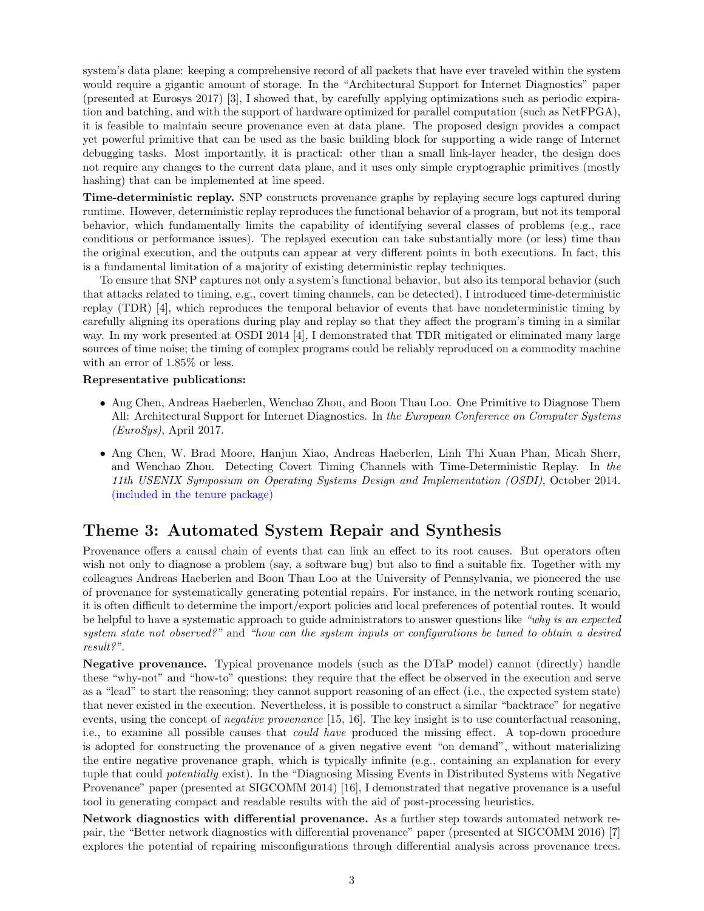system's data plane: keeping a comprehensive record of all packets that have ever traveled within the system would require a gigantic amount of storage. In the "Architectural Support for Internet Diagnostics" paper (presented at Eurosys 2017) [3], I showed that, by carefully applying optimizations such as periodic expiration and batching, and with the support of hardware optimized for parallel computation (such as NetFPGA), it is feasible to maintain secure provenance even at data plane. The proposed design provides a compact yet powerful primitive that can be used as the basic building block for supporting a wide range of Internet debugging tasks. Most importantly, it is practical: other than a small link-layer header, the design does not require any changes to the current data plane, and it uses only simple cryptographic primitives (mostly hashing) that can be implemented at line speed.

Time-deterministic replay. SNP constructs provenance graphs by replaying secure logs captured during runtime. However, deterministic replay reproduces the functional behavior of a program, but not its temporal behavior, which fundamentally limits the capability of identifying several classes of problems (e.g., race conditions or performance issues). The replayed execution can take substantially more (or less) time than the original execution, and the outputs can appear at very different points in both executions. In fact, this is a fundamental limitation of a majority of existing deterministic replay techniques.

To ensure that SNP captures not only a system's functional behavior, but also its temporal behavior (such that attacks related to timing, e.g., covert timing channels, can be detected), I introduced time-deterministic replay (TDR) [4], which reproduces the temporal behavior of events that have nondeterministic timing by carefully aligning its operations during play and replay so that they affect the program's timing in a similar way. In my work presented at OSDI 2014 [4], I demonstrated that TDR mitigated or eliminated many large sources of time noise; the timing of complex programs could be reliably reproduced on a commodity machine with an error of 1.85% or less.

#### Representative publications:

- Ang Chen, Andreas Haeberlen, Wenchao Zhou, and Boon Thau Loo. One Primitive to Diagnose Them All: Architectural Support for Internet Diagnostics. In the European Conference on Computer Systems  $(EuroSys)$ , April 2017.
- Ang Chen, W. Brad Moore, Hanjun Xiao, Andreas Haeberlen, Linh Thi Xuan Phan, Micah Sherr, and Wenchao Zhou. Detecting Covert Timing Channels with Time-Deterministic Replay. In the 11th USENIX Symposium on Operating Systems Design and Implementation (OSDI), October 2014. (included in the tenure package)

## Theme 3: Automated System Repair and Synthesis

Provenance offers a causal chain of events that can link an effect to its root causes. But operators often wish not only to diagnose a problem (say, a software bug) but also to find a suitable fix. Together with my colleagues Andreas Haeberlen and Boon Thau Loo at the University of Pennsylvania, we pioneered the use of provenance for systematically generating potential repairs. For instance, in the network routing scenario, it is often difficult to determine the import/export policies and local preferences of potential routes. It would be helpful to have a systematic approach to guide administrators to answer questions like "why is an expected system state not observed?" and "how can the system inputs or configurations be tuned to obtain a desired result?".

Negative provenance. Typical provenance models (such as the DTaP model) cannot (directly) handle these "why-not" and "how-to" questions: they require that the effect be observed in the execution and serve as a "lead" to start the reasoning; they cannot support reasoning of an effect (i.e., the expected system state) that never existed in the execution. Nevertheless, it is possible to construct a similar "backtrace" for negative events, using the concept of negative provenance [15, 16]. The key insight is to use counterfactual reasoning, i.e., to examine all possible causes that could have produced the missing effect. A top-down procedure is adopted for constructing the provenance of a given negative event "on demand", without materializing the entire negative provenance graph, which is typically infinite (e.g., containing an explanation for every tuple that could *potentially* exist). In the "Diagnosing Missing Events in Distributed Systems with Negative Provenance" paper (presented at SIGCOMM 2014) [16], I demonstrated that negative provenance is a useful tool in generating compact and readable results with the aid of post-processing heuristics.

Network diagnostics with differential provenance. As a further step towards automated network repair, the "Better network diagnostics with differential provenance" paper (presented at SIGCOMM 2016) [7] explores the potential of repairing misconfigurations through differential analysis across provenance trees.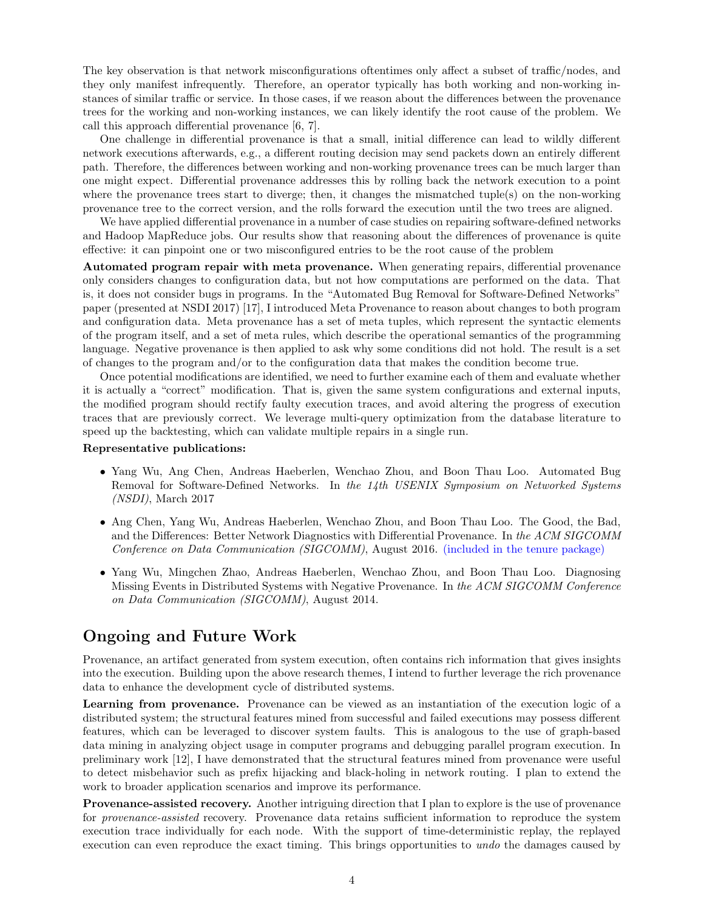The key observation is that network misconfigurations oftentimes only affect a subset of traffic/nodes, and they only manifest infrequently. Therefore, an operator typically has both working and non-working instances of similar traffic or service. In those cases, if we reason about the differences between the provenance trees for the working and non-working instances, we can likely identify the root cause of the problem. We call this approach differential provenance [6, 7].

One challenge in differential provenance is that a small, initial difference can lead to wildly different network executions afterwards, e.g., a different routing decision may send packets down an entirely different path. Therefore, the differences between working and non-working provenance trees can be much larger than one might expect. Differential provenance addresses this by rolling back the network execution to a point where the provenance trees start to diverge; then, it changes the mismatched tuple(s) on the non-working provenance tree to the correct version, and the rolls forward the execution until the two trees are aligned.

We have applied differential provenance in a number of case studies on repairing software-defined networks and Hadoop MapReduce jobs. Our results show that reasoning about the differences of provenance is quite effective: it can pinpoint one or two misconfigured entries to be the root cause of the problem

Automated program repair with meta provenance. When generating repairs, differential provenance only considers changes to configuration data, but not how computations are performed on the data. That is, it does not consider bugs in programs. In the "Automated Bug Removal for Software-Defined Networks" paper (presented at NSDI 2017) [17], I introduced Meta Provenance to reason about changes to both program and configuration data. Meta provenance has a set of meta tuples, which represent the syntactic elements of the program itself, and a set of meta rules, which describe the operational semantics of the programming language. Negative provenance is then applied to ask why some conditions did not hold. The result is a set of changes to the program and/or to the configuration data that makes the condition become true.

Once potential modifications are identified, we need to further examine each of them and evaluate whether it is actually a "correct" modification. That is, given the same system configurations and external inputs, the modified program should rectify faulty execution traces, and avoid altering the progress of execution traces that are previously correct. We leverage multi-query optimization from the database literature to speed up the backtesting, which can validate multiple repairs in a single run.

#### Representative publications:

- Yang Wu, Ang Chen, Andreas Haeberlen, Wenchao Zhou, and Boon Thau Loo. Automated Bug Removal for Software-Defined Networks. In the 14th USENIX Symposium on Networked Systems (NSDI), March 2017
- Ang Chen, Yang Wu, Andreas Haeberlen, Wenchao Zhou, and Boon Thau Loo. The Good, the Bad, and the Differences: Better Network Diagnostics with Differential Provenance. In the ACM SIGCOMM Conference on Data Communication (SIGCOMM), August 2016. (included in the tenure package)
- Yang Wu, Mingchen Zhao, Andreas Haeberlen, Wenchao Zhou, and Boon Thau Loo. Diagnosing Missing Events in Distributed Systems with Negative Provenance. In the ACM SIGCOMM Conference on Data Communication (SIGCOMM), August 2014.

## Ongoing and Future Work

Provenance, an artifact generated from system execution, often contains rich information that gives insights into the execution. Building upon the above research themes, I intend to further leverage the rich provenance data to enhance the development cycle of distributed systems.

Learning from provenance. Provenance can be viewed as an instantiation of the execution logic of a distributed system; the structural features mined from successful and failed executions may possess different features, which can be leveraged to discover system faults. This is analogous to the use of graph-based data mining in analyzing object usage in computer programs and debugging parallel program execution. In preliminary work [12], I have demonstrated that the structural features mined from provenance were useful to detect misbehavior such as prefix hijacking and black-holing in network routing. I plan to extend the work to broader application scenarios and improve its performance.

Provenance-assisted recovery. Another intriguing direction that I plan to explore is the use of provenance for provenance-assisted recovery. Provenance data retains sufficient information to reproduce the system execution trace individually for each node. With the support of time-deterministic replay, the replayed execution can even reproduce the exact timing. This brings opportunities to *undo* the damages caused by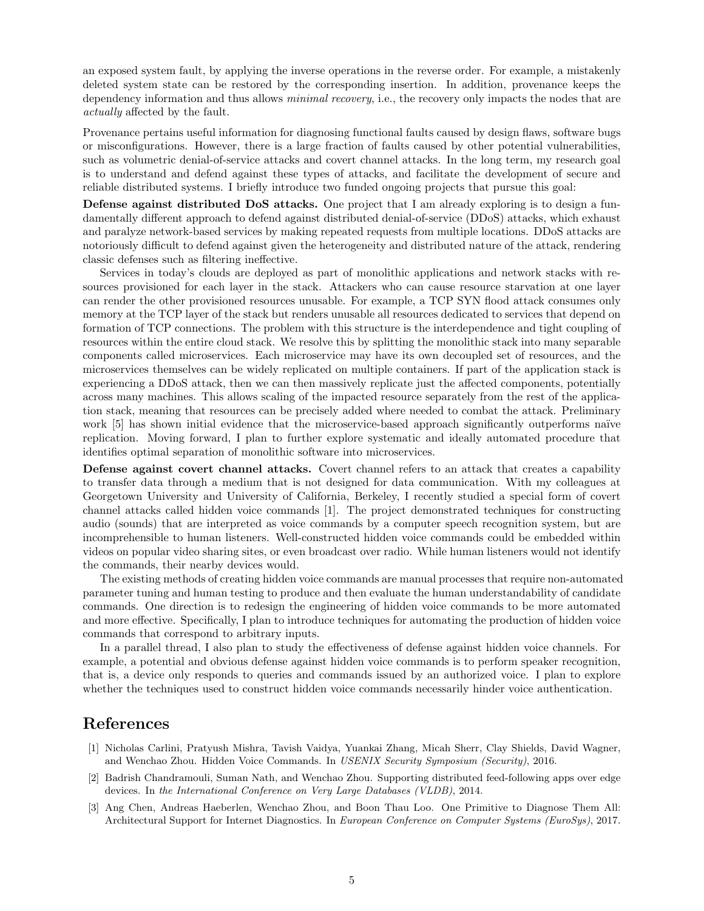an exposed system fault, by applying the inverse operations in the reverse order. For example, a mistakenly deleted system state can be restored by the corresponding insertion. In addition, provenance keeps the dependency information and thus allows *minimal recovery*, i.e., the recovery only impacts the nodes that are actually affected by the fault.

Provenance pertains useful information for diagnosing functional faults caused by design flaws, software bugs or misconfigurations. However, there is a large fraction of faults caused by other potential vulnerabilities, such as volumetric denial-of-service attacks and covert channel attacks. In the long term, my research goal is to understand and defend against these types of attacks, and facilitate the development of secure and reliable distributed systems. I briefly introduce two funded ongoing projects that pursue this goal:

Defense against distributed DoS attacks. One project that I am already exploring is to design a fundamentally different approach to defend against distributed denial-of-service (DDoS) attacks, which exhaust and paralyze network-based services by making repeated requests from multiple locations. DDoS attacks are notoriously difficult to defend against given the heterogeneity and distributed nature of the attack, rendering classic defenses such as filtering ineffective.

Services in today's clouds are deployed as part of monolithic applications and network stacks with resources provisioned for each layer in the stack. Attackers who can cause resource starvation at one layer can render the other provisioned resources unusable. For example, a TCP SYN flood attack consumes only memory at the TCP layer of the stack but renders unusable all resources dedicated to services that depend on formation of TCP connections. The problem with this structure is the interdependence and tight coupling of resources within the entire cloud stack. We resolve this by splitting the monolithic stack into many separable components called microservices. Each microservice may have its own decoupled set of resources, and the microservices themselves can be widely replicated on multiple containers. If part of the application stack is experiencing a DDoS attack, then we can then massively replicate just the affected components, potentially across many machines. This allows scaling of the impacted resource separately from the rest of the application stack, meaning that resources can be precisely added where needed to combat the attack. Preliminary work [5] has shown initial evidence that the microservice-based approach significantly outperforms naïve replication. Moving forward, I plan to further explore systematic and ideally automated procedure that identifies optimal separation of monolithic software into microservices.

Defense against covert channel attacks. Covert channel refers to an attack that creates a capability to transfer data through a medium that is not designed for data communication. With my colleagues at Georgetown University and University of California, Berkeley, I recently studied a special form of covert channel attacks called hidden voice commands [1]. The project demonstrated techniques for constructing audio (sounds) that are interpreted as voice commands by a computer speech recognition system, but are incomprehensible to human listeners. Well-constructed hidden voice commands could be embedded within videos on popular video sharing sites, or even broadcast over radio. While human listeners would not identify the commands, their nearby devices would.

The existing methods of creating hidden voice commands are manual processes that require non-automated parameter tuning and human testing to produce and then evaluate the human understandability of candidate commands. One direction is to redesign the engineering of hidden voice commands to be more automated and more effective. Specifically, I plan to introduce techniques for automating the production of hidden voice commands that correspond to arbitrary inputs.

In a parallel thread, I also plan to study the effectiveness of defense against hidden voice channels. For example, a potential and obvious defense against hidden voice commands is to perform speaker recognition, that is, a device only responds to queries and commands issued by an authorized voice. I plan to explore whether the techniques used to construct hidden voice commands necessarily hinder voice authentication.

## References

- [1] Nicholas Carlini, Pratyush Mishra, Tavish Vaidya, Yuankai Zhang, Micah Sherr, Clay Shields, David Wagner, and Wenchao Zhou. Hidden Voice Commands. In USENIX Security Symposium (Security), 2016.
- [2] Badrish Chandramouli, Suman Nath, and Wenchao Zhou. Supporting distributed feed-following apps over edge devices. In the International Conference on Very Large Databases (VLDB), 2014.
- [3] Ang Chen, Andreas Haeberlen, Wenchao Zhou, and Boon Thau Loo. One Primitive to Diagnose Them All: Architectural Support for Internet Diagnostics. In European Conference on Computer Systems (EuroSys), 2017.